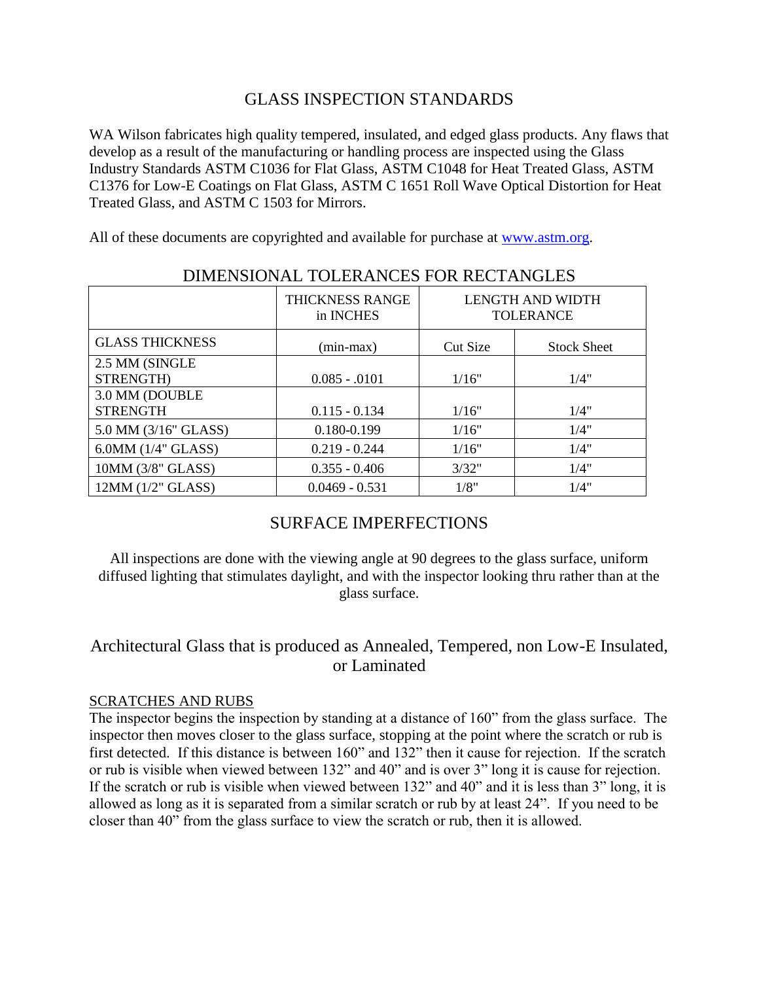## GLASS INSPECTION STANDARDS

WA Wilson fabricates high quality tempered, insulated, and edged glass products. Any flaws that develop as a result of the manufacturing or handling process are inspected using the Glass Industry Standards ASTM C1036 for Flat Glass, ASTM C1048 for Heat Treated Glass, ASTM C1376 for Low-E Coatings on Flat Glass, ASTM C 1651 Roll Wave Optical Distortion for Heat Treated Glass, and ASTM C 1503 for Mirrors.

All of these documents are copyrighted and available for purchase at [www.astm.org.](http://www.astm.org/)

| DIMENSIONAL TOLERANCES FOR RECTANGLES |                              |                                      |                    |  |  |  |
|---------------------------------------|------------------------------|--------------------------------------|--------------------|--|--|--|
|                                       | THICKNESS RANGE<br>in INCHES | LENGTH AND WIDTH<br><b>TOLERANCE</b> |                    |  |  |  |
| <b>GLASS THICKNESS</b>                | $(min-max)$                  | Cut Size                             | <b>Stock Sheet</b> |  |  |  |
| 2.5 MM (SINGLE                        |                              |                                      |                    |  |  |  |
| STRENGTH)                             | $0.085 - 0.0101$             | 1/16"                                | 1/4"               |  |  |  |
| 3.0 MM (DOUBLE                        |                              |                                      |                    |  |  |  |
| <b>STRENGTH</b>                       | $0.115 - 0.134$              | 1/16"                                | 1/4"               |  |  |  |
| 5.0 MM (3/16" GLASS)                  | 0.180-0.199                  | 1/16"                                | 1/4"               |  |  |  |
| $6.0MM$ $(1/4"$ GLASS)                | $0.219 - 0.244$              | 1/16"                                | 1/4"               |  |  |  |
| 10MM (3/8" GLASS)                     | $0.355 - 0.406$              | 3/32"                                | 1/4"               |  |  |  |
| 12MM (1/2" GLASS)                     | $0.0469 - 0.531$             | 1/8"                                 | 1/4"               |  |  |  |

# DIMENSIONAL TOLERANCES FOR RECTANGLES

# SURFACE IMPERFECTIONS

All inspections are done with the viewing angle at 90 degrees to the glass surface, uniform diffused lighting that stimulates daylight, and with the inspector looking thru rather than at the glass surface.

# Architectural Glass that is produced as Annealed, Tempered, non Low-E Insulated, or Laminated

### SCRATCHES AND RUBS

The inspector begins the inspection by standing at a distance of 160" from the glass surface. The inspector then moves closer to the glass surface, stopping at the point where the scratch or rub is first detected. If this distance is between 160" and 132" then it cause for rejection. If the scratch or rub is visible when viewed between 132" and 40" and is over 3" long it is cause for rejection. If the scratch or rub is visible when viewed between 132" and 40" and it is less than 3" long, it is allowed as long as it is separated from a similar scratch or rub by at least 24". If you need to be closer than 40" from the glass surface to view the scratch or rub, then it is allowed.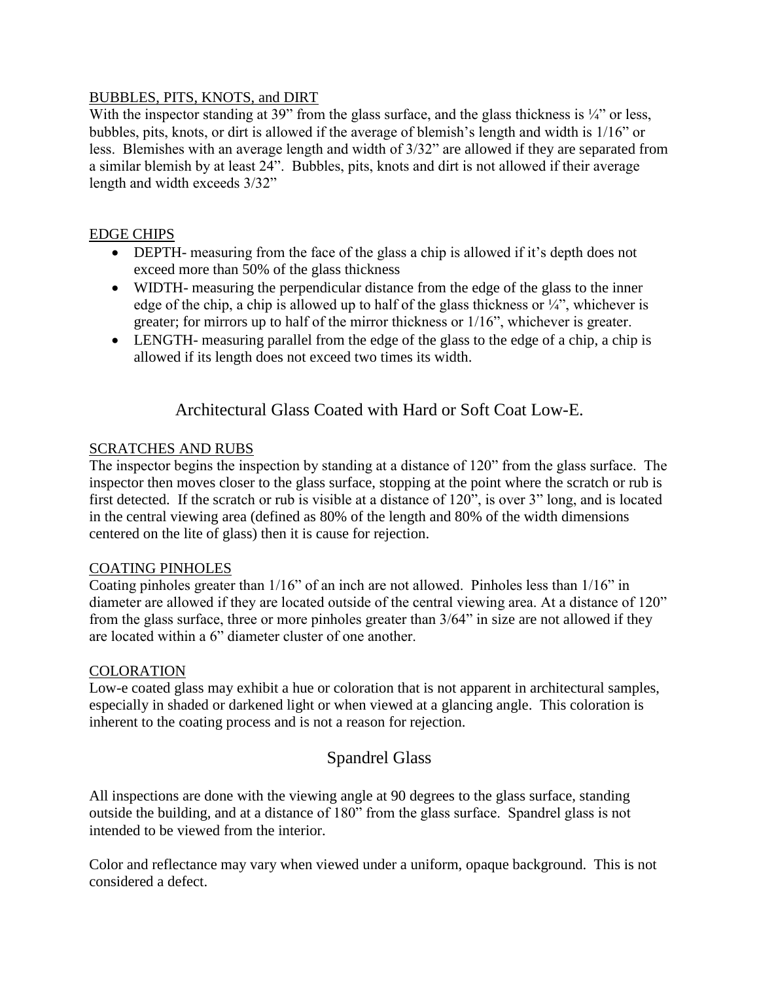### BUBBLES, PITS, KNOTS, and DIRT

With the inspector standing at 39" from the glass surface, and the glass thickness is  $\frac{1}{4}$ " or less, bubbles, pits, knots, or dirt is allowed if the average of blemish's length and width is 1/16" or less. Blemishes with an average length and width of 3/32" are allowed if they are separated from a similar blemish by at least 24". Bubbles, pits, knots and dirt is not allowed if their average length and width exceeds 3/32"

### EDGE CHIPS

- DEPTH- measuring from the face of the glass a chip is allowed if it's depth does not exceed more than 50% of the glass thickness
- WIDTH- measuring the perpendicular distance from the edge of the glass to the inner edge of the chip, a chip is allowed up to half of the glass thickness or  $\frac{1}{4}$ , whichever is greater; for mirrors up to half of the mirror thickness or 1/16", whichever is greater.
- LENGTH- measuring parallel from the edge of the glass to the edge of a chip, a chip is allowed if its length does not exceed two times its width.

# Architectural Glass Coated with Hard or Soft Coat Low-E.

### SCRATCHES AND RUBS

The inspector begins the inspection by standing at a distance of 120" from the glass surface. The inspector then moves closer to the glass surface, stopping at the point where the scratch or rub is first detected. If the scratch or rub is visible at a distance of 120", is over 3" long, and is located in the central viewing area (defined as 80% of the length and 80% of the width dimensions centered on the lite of glass) then it is cause for rejection.

#### COATING PINHOLES

Coating pinholes greater than 1/16" of an inch are not allowed. Pinholes less than 1/16" in diameter are allowed if they are located outside of the central viewing area. At a distance of 120" from the glass surface, three or more pinholes greater than 3/64" in size are not allowed if they are located within a 6" diameter cluster of one another.

#### COLORATION

Low-e coated glass may exhibit a hue or coloration that is not apparent in architectural samples, especially in shaded or darkened light or when viewed at a glancing angle. This coloration is inherent to the coating process and is not a reason for rejection.

# Spandrel Glass

All inspections are done with the viewing angle at 90 degrees to the glass surface, standing outside the building, and at a distance of 180" from the glass surface. Spandrel glass is not intended to be viewed from the interior.

Color and reflectance may vary when viewed under a uniform, opaque background. This is not considered a defect.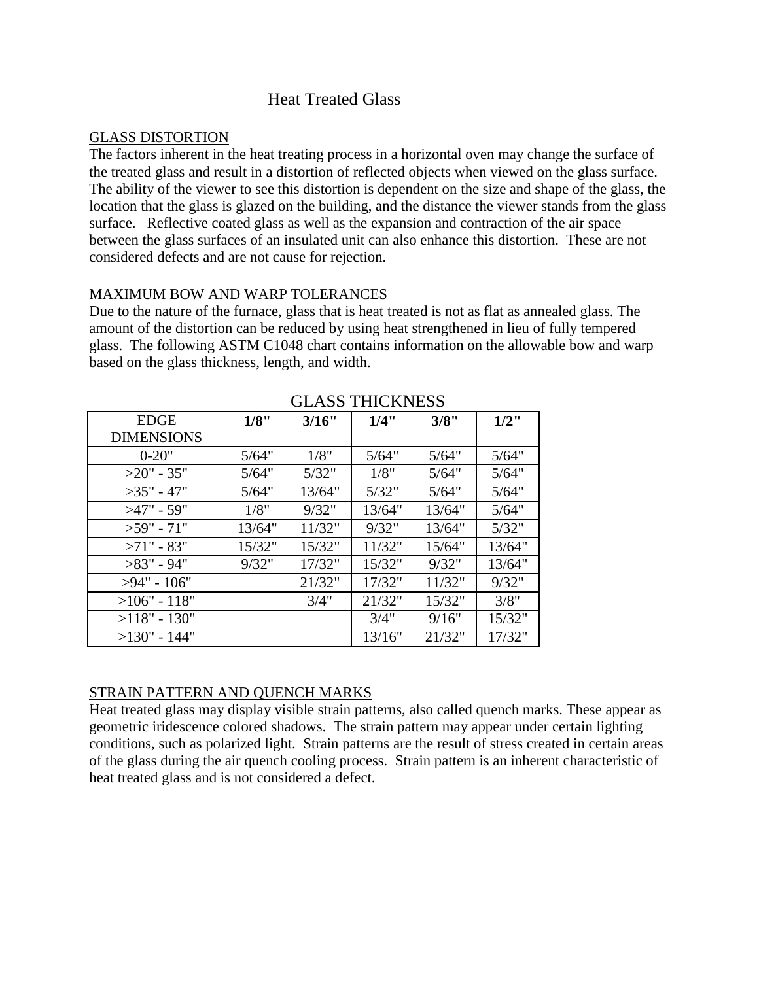## Heat Treated Glass

#### GLASS DISTORTION

The factors inherent in the heat treating process in a horizontal oven may change the surface of the treated glass and result in a distortion of reflected objects when viewed on the glass surface. The ability of the viewer to see this distortion is dependent on the size and shape of the glass, the location that the glass is glazed on the building, and the distance the viewer stands from the glass surface. Reflective coated glass as well as the expansion and contraction of the air space between the glass surfaces of an insulated unit can also enhance this distortion. These are not considered defects and are not cause for rejection.

#### MAXIMUM BOW AND WARP TOLERANCES

Due to the nature of the furnace, glass that is heat treated is not as flat as annealed glass. The amount of the distortion can be reduced by using heat strengthened in lieu of fully tempered glass. The following ASTM C1048 chart contains information on the allowable bow and warp based on the glass thickness, length, and width.

| <b>EDGE</b>       | 1/8"   | 3/16"  | 1/4"   | 3/8"   | $1/2$ " |
|-------------------|--------|--------|--------|--------|---------|
| <b>DIMENSIONS</b> |        |        |        |        |         |
| $0-20"$           | 5/64"  | 1/8"   | 5/64"  | 5/64"  | 5/64"   |
| $>20$ " - 35"     | 5/64"  | 5/32"  | 1/8"   | 5/64"  | 5/64"   |
| $>35" - 47"$      | 5/64"  | 13/64" | 5/32"  | 5/64"  | 5/64"   |
| $>47"$ - 59"      | 1/8"   | 9/32"  | 13/64" | 13/64" | 5/64"   |
| $>59"$ - 71"      | 13/64" | 11/32" | 9/32"  | 13/64" | 5/32"   |
| $>71$ " - 83"     | 15/32" | 15/32" | 11/32" | 15/64" | 13/64"  |
| $>83"$ - 94"      | 9/32"  | 17/32" | 15/32" | 9/32"  | 13/64"  |
| $>94"$ - 106"     |        | 21/32" | 17/32" | 11/32" | 9/32"   |
| $>106" - 118"$    |        | 3/4"   | 21/32" | 15/32" | 3/8"    |
| $>118" - 130"$    |        |        | 3/4"   | 9/16"  | 15/32"  |
| $>130"$ - 144"    |        |        | 13/16" | 21/32" | 17/32"  |

## GLASS THICKNESS

### STRAIN PATTERN AND QUENCH MARKS

Heat treated glass may display visible strain patterns, also called quench marks. These appear as geometric iridescence colored shadows. The strain pattern may appear under certain lighting conditions, such as polarized light. Strain patterns are the result of stress created in certain areas of the glass during the air quench cooling process. Strain pattern is an inherent characteristic of heat treated glass and is not considered a defect.